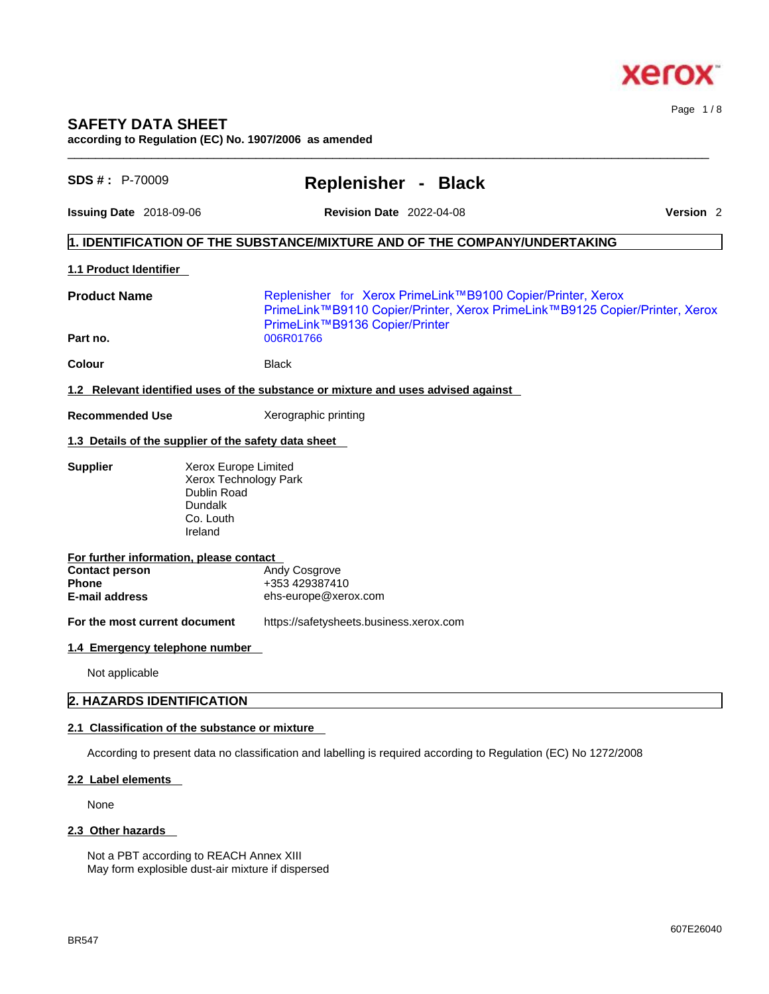

# **SAFETY DATA SHEET according to Regulation (EC) No. 1907/2006 as amended**

| SDS #: P-70009                                          |                                                                                                 | Replenisher - Black                                                                                                                                                                       |  |                      |  |
|---------------------------------------------------------|-------------------------------------------------------------------------------------------------|-------------------------------------------------------------------------------------------------------------------------------------------------------------------------------------------|--|----------------------|--|
| Issuing Date 2018-09-06                                 |                                                                                                 | <b>Revision Date 2022-04-08</b>                                                                                                                                                           |  | Version <sub>2</sub> |  |
|                                                         |                                                                                                 | $\vert$ 1. IDENTIFICATION OF THE SUBSTANCE/MIXTURE AND OF THE COMPANY/UNDERTAKING                                                                                                         |  |                      |  |
| 1.1 Product Identifier                                  |                                                                                                 |                                                                                                                                                                                           |  |                      |  |
| <b>Product Name</b><br>Part no.                         |                                                                                                 | Replenisher for Xerox PrimeLink™B9100 Copier/Printer, Xerox<br>PrimeLink™B9110 Copier/Printer, Xerox PrimeLink™B9125 Copier/Printer, Xerox<br>PrimeLink™B9136 Copier/Printer<br>006R01766 |  |                      |  |
| Colour                                                  |                                                                                                 | <b>Black</b>                                                                                                                                                                              |  |                      |  |
|                                                         |                                                                                                 | 1.2 Relevant identified uses of the substance or mixture and uses advised against                                                                                                         |  |                      |  |
| <b>Recommended Use</b>                                  |                                                                                                 | Xerographic printing                                                                                                                                                                      |  |                      |  |
| 1.3 Details of the supplier of the safety data sheet    |                                                                                                 |                                                                                                                                                                                           |  |                      |  |
| <b>Supplier</b>                                         | Xerox Europe Limited<br>Xerox Technology Park<br>Dublin Road<br>Dundalk<br>Co. Louth<br>Ireland |                                                                                                                                                                                           |  |                      |  |
| For further information, please contact                 |                                                                                                 |                                                                                                                                                                                           |  |                      |  |
| <b>Contact person</b><br>Phone<br><b>E-mail address</b> |                                                                                                 | Andy Cosgrove<br>+353 429387410<br>ehs-europe@xerox.com                                                                                                                                   |  |                      |  |
| For the most current document                           |                                                                                                 | https://safetysheets.business.xerox.com                                                                                                                                                   |  |                      |  |
| 1.4 Emergency telephone number                          |                                                                                                 |                                                                                                                                                                                           |  |                      |  |
| Not applicable                                          |                                                                                                 |                                                                                                                                                                                           |  |                      |  |
| 2. HAZARDS IDENTIFICATION                               |                                                                                                 |                                                                                                                                                                                           |  |                      |  |
| 2.1 Classification of the substance or mixture          |                                                                                                 |                                                                                                                                                                                           |  |                      |  |

 $\_$  ,  $\_$  ,  $\_$  ,  $\_$  ,  $\_$  ,  $\_$  ,  $\_$  ,  $\_$  ,  $\_$  ,  $\_$  ,  $\_$  ,  $\_$  ,  $\_$  ,  $\_$  ,  $\_$  ,  $\_$  ,  $\_$  ,  $\_$  ,  $\_$  ,  $\_$  ,  $\_$  ,  $\_$  ,  $\_$  ,  $\_$  ,  $\_$  ,  $\_$  ,  $\_$  ,  $\_$  ,  $\_$  ,  $\_$  ,  $\_$  ,  $\_$  ,  $\_$  ,  $\_$  ,  $\_$  ,  $\_$  ,  $\_$  ,

According to present data no classification and labelling is required according to Regulation (EC) No 1272/2008

## **2.2 Label elements**

None

# **2.3 Other hazards**

Not a PBT according to REACH Annex XIII May form explosible dust-air mixture if dispersed Page 1 / 8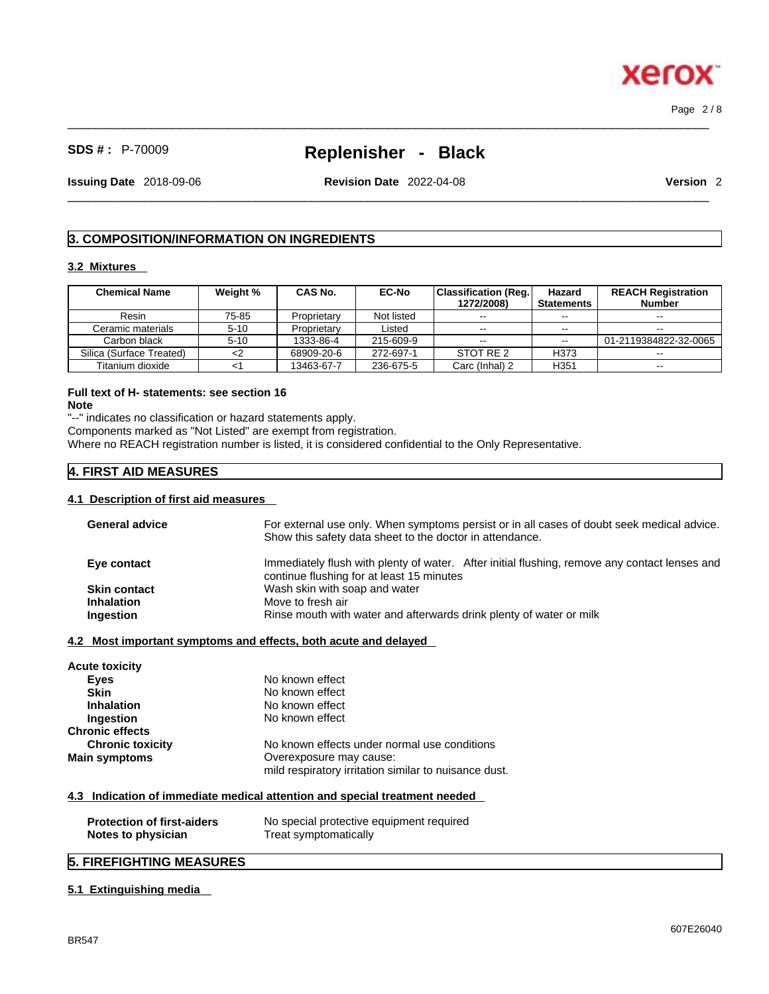Page 2 / 8

ĸ

**Xero** 

# **SDS # :** P-70009 **Replenisher - Black**

 $\_$  ,  $\_$  ,  $\_$  ,  $\_$  ,  $\_$  ,  $\_$  ,  $\_$  ,  $\_$  ,  $\_$  ,  $\_$  ,  $\_$  ,  $\_$  ,  $\_$  ,  $\_$  ,  $\_$  ,  $\_$  ,  $\_$  ,  $\_$  ,  $\_$  ,  $\_$  ,  $\_$  ,  $\_$  ,  $\_$  ,  $\_$  ,  $\_$  ,  $\_$  ,  $\_$  ,  $\_$  ,  $\_$  ,  $\_$  ,  $\_$  ,  $\_$  ,  $\_$  ,  $\_$  ,  $\_$  ,  $\_$  ,  $\_$  ,

**Issuing Date** 2018-09-06 **Revision Date** 2022-04-08 **Version** 2

 $\_$  ,  $\_$  ,  $\_$  ,  $\_$  ,  $\_$  ,  $\_$  ,  $\_$  ,  $\_$  ,  $\_$  ,  $\_$  ,  $\_$  ,  $\_$  ,  $\_$  ,  $\_$  ,  $\_$  ,  $\_$  ,  $\_$  ,  $\_$  ,  $\_$  ,  $\_$  ,  $\_$  ,  $\_$  ,  $\_$  ,  $\_$  ,  $\_$  ,  $\_$  ,  $\_$  ,  $\_$  ,  $\_$  ,  $\_$  ,  $\_$  ,  $\_$  ,  $\_$  ,  $\_$  ,  $\_$  ,  $\_$  ,  $\_$  ,

# **3. COMPOSITION/INFORMATION ON INGREDIENTS**

# **3.2 Mixtures**

| <b>Chemical Name</b>     | Weight % | CAS No.     | <b>EC-No</b> | Classification (Reg.)<br>1272/2008) | Hazard<br><b>Statements</b> | <b>REACH Registration</b><br><b>Number</b> |
|--------------------------|----------|-------------|--------------|-------------------------------------|-----------------------------|--------------------------------------------|
| Resin                    | 75-85    | Proprietary | Not listed   | $- -$                               | $- -$                       | $- -$                                      |
| Ceramic materials        | $5 - 10$ | Proprietary | Listed       | $\sim$ $\sim$                       | $-1$                        | $- -$                                      |
| Carbon black             | $5 - 10$ | 1333-86-4   | 215-609-9    | $\sim$ $\sim$                       | $\sim$ $\sim$               | 01-2119384822-32-0065                      |
| Silica (Surface Treated) |          | 68909-20-6  | 272-697-1    | STOT RE 2                           | H373                        | $- -$                                      |
| Titanium dioxide         |          | 13463-67-7  | 236-675-5    | Carc (Inhal) 2                      | H351                        | $- -$                                      |

# **Full text of H- statements: see section 16**

**Note**

"--" indicates no classification or hazard statements apply.

Components marked as "Not Listed" are exempt from registration.

Where no REACH registration number is listed, it is considered confidential to the Only Representative.

# **4. FIRST AID MEASURES**

#### **4.1 Description of first aid measures**

| For external use only. When symptoms persist or in all cases of doubt seek medical advice.    |  |  |  |
|-----------------------------------------------------------------------------------------------|--|--|--|
| Show this safety data sheet to the doctor in attendance.                                      |  |  |  |
| Immediately flush with plenty of water. After initial flushing, remove any contact lenses and |  |  |  |
| continue flushing for at least 15 minutes                                                     |  |  |  |
| Wash skin with soap and water                                                                 |  |  |  |
| Move to fresh air                                                                             |  |  |  |
| Rinse mouth with water and afterwards drink plenty of water or milk                           |  |  |  |
|                                                                                               |  |  |  |
| 4.2 Most important symptoms and effects, both acute and delayed                               |  |  |  |
|                                                                                               |  |  |  |
| No known effect                                                                               |  |  |  |
| No known effect                                                                               |  |  |  |
| No known effect                                                                               |  |  |  |
| No known effect                                                                               |  |  |  |
|                                                                                               |  |  |  |
| No known effects under normal use conditions                                                  |  |  |  |
| Overexposure may cause:                                                                       |  |  |  |
| mild respiratory irritation similar to nuisance dust.                                         |  |  |  |
| 4.3 Indication of immediate medical attention and special treatment needed                    |  |  |  |
|                                                                                               |  |  |  |
| No special protective equipment required                                                      |  |  |  |
| Treat symptomatically                                                                         |  |  |  |
|                                                                                               |  |  |  |

# **5. FIREFIGHTING MEASURES**

# **5.1 Extinguishing media**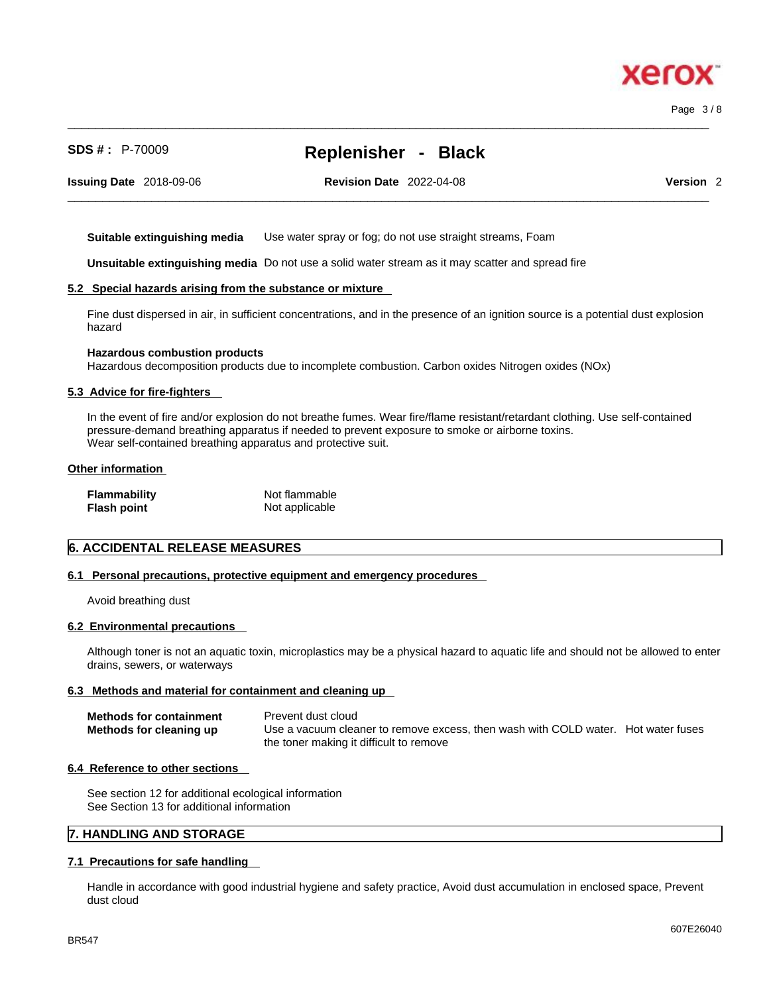Page 3 / 8

# **SDS # :** P-70009 **Replenisher - Black**

 $\_$  ,  $\_$  ,  $\_$  ,  $\_$  ,  $\_$  ,  $\_$  ,  $\_$  ,  $\_$  ,  $\_$  ,  $\_$  ,  $\_$  ,  $\_$  ,  $\_$  ,  $\_$  ,  $\_$  ,  $\_$  ,  $\_$  ,  $\_$  ,  $\_$  ,  $\_$  ,  $\_$  ,  $\_$  ,  $\_$  ,  $\_$  ,  $\_$  ,  $\_$  ,  $\_$  ,  $\_$  ,  $\_$  ,  $\_$  ,  $\_$  ,  $\_$  ,  $\_$  ,  $\_$  ,  $\_$  ,  $\_$  ,  $\_$  ,

 $\_$  ,  $\_$  ,  $\_$  ,  $\_$  ,  $\_$  ,  $\_$  ,  $\_$  ,  $\_$  ,  $\_$  ,  $\_$  ,  $\_$  ,  $\_$  ,  $\_$  ,  $\_$  ,  $\_$  ,  $\_$  ,  $\_$  ,  $\_$  ,  $\_$  ,  $\_$  ,  $\_$  ,  $\_$  ,  $\_$  ,  $\_$  ,  $\_$  ,  $\_$  ,  $\_$  ,  $\_$  ,  $\_$  ,  $\_$  ,  $\_$  ,  $\_$  ,  $\_$  ,  $\_$  ,  $\_$  ,  $\_$  ,  $\_$  ,

**Issuing Date** 2018-09-06 **Revision Date** 2022-04-08 **Version** 2

**Suitable extinguishing media** Use water spray or fog; do not use straight streams, Foam

**Unsuitable extinguishing media** Do not use a solid water stream as it may scatterand spread fire

#### **5.2 Special hazards arising from the substance or mixture**

Fine dust dispersed in air, in sufficient concentrations, and in the presence of an ignition source is a potential dust explosion hazard

#### **Hazardous combustion products**

Hazardous decomposition products due to incomplete combustion. Carbon oxides Nitrogen oxides (NOx)

### **5.3 Advice for fire-fighters**

In the event of fire and/or explosion do not breathe fumes. Wear fire/flame resistant/retardant clothing. Use self-contained pressure-demand breathing apparatus if needed to prevent exposure to smoke or airborne toxins. Wear self-contained breathing apparatus and protective suit.

#### **Other information**

| Flammability | Not flammable  |
|--------------|----------------|
| Flash point  | Not applicable |

#### **6. ACCIDENTAL RELEASE MEASURES**

#### **6.1 Personal precautions, protective equipment and emergency procedures**

Avoid breathing dust

#### **6.2 Environmental precautions**

Although toner is not an aquatic toxin, microplastics may be a physical hazard to aquatic life and should not be allowed to enter drains, sewers, or waterways

#### **6.3 Methods and material for containment and cleaning up**

| <b>Methods for containment</b> | Prevent dust cloud                                                                |  |
|--------------------------------|-----------------------------------------------------------------------------------|--|
| Methods for cleaning up        | Use a vacuum cleaner to remove excess, then wash with COLD water. Hot water fuses |  |
|                                | the toner making it difficult to remove                                           |  |

#### **6.4 Reference to other sections**

See section 12 for additional ecological information See Section 13 for additional information

# **7. HANDLING AND STORAGE**

#### **7.1 Precautions for safe handling**

Handle in accordance with good industrial hygiene and safety practice, Avoid dust accumulation in enclosed space, Prevent dust cloud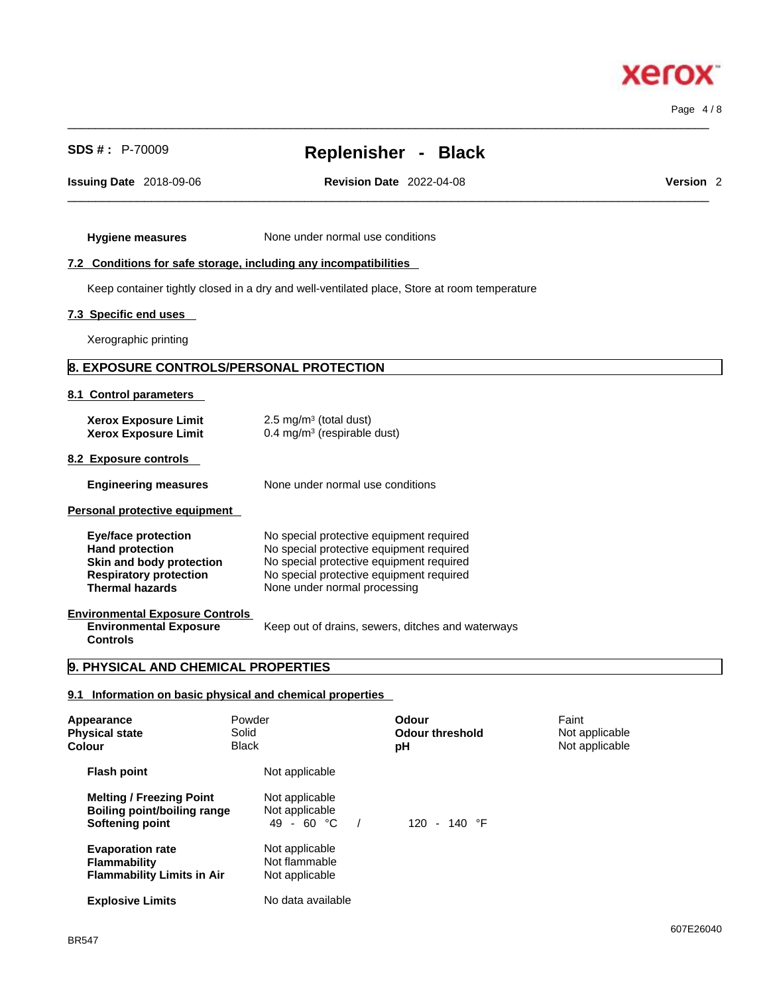Page 4 / 8

# **SDS # :** P-70009 **Replenisher - Black**

 $\_$  ,  $\_$  ,  $\_$  ,  $\_$  ,  $\_$  ,  $\_$  ,  $\_$  ,  $\_$  ,  $\_$  ,  $\_$  ,  $\_$  ,  $\_$  ,  $\_$  ,  $\_$  ,  $\_$  ,  $\_$  ,  $\_$  ,  $\_$  ,  $\_$  ,  $\_$  ,  $\_$  ,  $\_$  ,  $\_$  ,  $\_$  ,  $\_$  ,  $\_$  ,  $\_$  ,  $\_$  ,  $\_$  ,  $\_$  ,  $\_$  ,  $\_$  ,  $\_$  ,  $\_$  ,  $\_$  ,  $\_$  ,  $\_$  ,

 $\_$  ,  $\_$  ,  $\_$  ,  $\_$  ,  $\_$  ,  $\_$  ,  $\_$  ,  $\_$  ,  $\_$  ,  $\_$  ,  $\_$  ,  $\_$  ,  $\_$  ,  $\_$  ,  $\_$  ,  $\_$  ,  $\_$  ,  $\_$  ,  $\_$  ,  $\_$  ,  $\_$  ,  $\_$  ,  $\_$  ,  $\_$  ,  $\_$  ,  $\_$  ,  $\_$  ,  $\_$  ,  $\_$  ,  $\_$  ,  $\_$  ,  $\_$  ,  $\_$  ,  $\_$  ,  $\_$  ,  $\_$  ,  $\_$  ,

**Issuing Date** 2018-09-06 **Revision Date** 2022-04-08 **Version** 2

**Hygiene measures** None under normal use conditions

## **7.2 Conditions for safe storage, including any incompatibilities**

Keep container tightly closed in a dry and well-ventilated place, Store at room temperature

## **7.3 Specific end uses**

Xerographic printing

# **8. EXPOSURE CONTROLS/PERSONAL PROTECTION**

#### **8.1 Control parameters**

| <b>Xerox Exposure Limit</b><br><b>Xerox Exposure Limit</b>                                                                           | 2.5 mg/m <sup>3</sup> (total dust)<br>0.4 mg/m <sup>3</sup> (respirable dust)                                                                                                                                |
|--------------------------------------------------------------------------------------------------------------------------------------|--------------------------------------------------------------------------------------------------------------------------------------------------------------------------------------------------------------|
| 8.2 Exposure controls                                                                                                                |                                                                                                                                                                                                              |
| <b>Engineering measures</b>                                                                                                          | None under normal use conditions                                                                                                                                                                             |
| Personal protective equipment                                                                                                        |                                                                                                                                                                                                              |
| Eye/face protection<br><b>Hand protection</b><br>Skin and body protection<br><b>Respiratory protection</b><br><b>Thermal hazards</b> | No special protective equipment required<br>No special protective equipment required<br>No special protective equipment required<br>No special protective equipment required<br>None under normal processing |
| <b>Environmental Exposure Controls</b><br><b>Environmental Exposure</b><br><b>Controls</b>                                           | Keep out of drains, sewers, ditches and waterways                                                                                                                                                            |
| la<br><b>PHYSICAL AND CHEMICAL PROPERTIES</b>                                                                                        |                                                                                                                                                                                                              |

#### **9. PHYSICAL AND CHEMICAL PROPERTIES**

# **9.1 Information on basic physical and chemical properties**

| Appearance<br><b>Physical state</b><br>Colour                                            | Powder<br>Solid<br><b>Black</b>                   | Odour<br><b>Odour threshold</b><br>рH | Faint<br>Not applicable<br>Not applicable |
|------------------------------------------------------------------------------------------|---------------------------------------------------|---------------------------------------|-------------------------------------------|
| <b>Flash point</b>                                                                       | Not applicable                                    |                                       |                                           |
| <b>Melting / Freezing Point</b><br><b>Boiling point/boiling range</b><br>Softening point | Not applicable<br>Not applicable<br>49 - 60 °C    | $120 - 140$ °F                        |                                           |
| <b>Evaporation rate</b><br><b>Flammability</b><br><b>Flammability Limits in Air</b>      | Not applicable<br>Not flammable<br>Not applicable |                                       |                                           |
| <b>Explosive Limits</b>                                                                  | No data available                                 |                                       |                                           |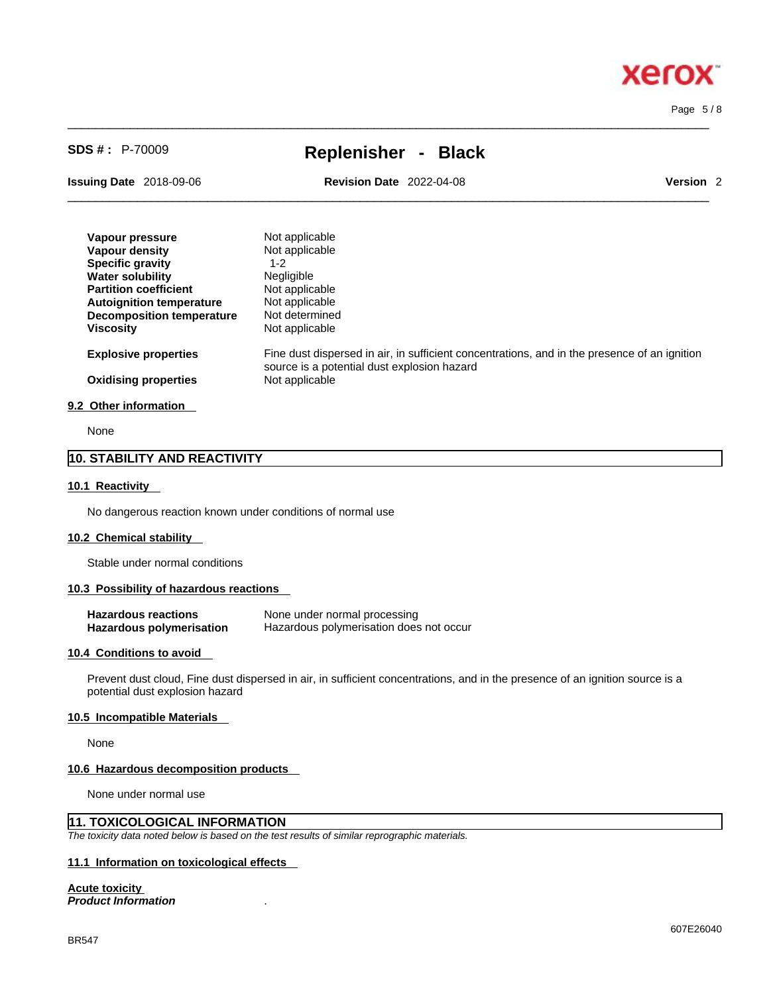# **Xero** x

Page 5 / 8

# **SDS # :** P-70009 **Replenisher - Black**

 $\_$  ,  $\_$  ,  $\_$  ,  $\_$  ,  $\_$  ,  $\_$  ,  $\_$  ,  $\_$  ,  $\_$  ,  $\_$  ,  $\_$  ,  $\_$  ,  $\_$  ,  $\_$  ,  $\_$  ,  $\_$  ,  $\_$  ,  $\_$  ,  $\_$  ,  $\_$  ,  $\_$  ,  $\_$  ,  $\_$  ,  $\_$  ,  $\_$  ,  $\_$  ,  $\_$  ,  $\_$  ,  $\_$  ,  $\_$  ,  $\_$  ,  $\_$  ,  $\_$  ,  $\_$  ,  $\_$  ,  $\_$  ,  $\_$  ,

**Issuing Date** 2018-09-06 **Revision Date** 2022-04-08 **Version** 2

 $\_$  ,  $\_$  ,  $\_$  ,  $\_$  ,  $\_$  ,  $\_$  ,  $\_$  ,  $\_$  ,  $\_$  ,  $\_$  ,  $\_$  ,  $\_$  ,  $\_$  ,  $\_$  ,  $\_$  ,  $\_$  ,  $\_$  ,  $\_$  ,  $\_$  ,  $\_$  ,  $\_$  ,  $\_$  ,  $\_$  ,  $\_$  ,  $\_$  ,  $\_$  ,  $\_$  ,  $\_$  ,  $\_$  ,  $\_$  ,  $\_$  ,  $\_$  ,  $\_$  ,  $\_$  ,  $\_$  ,  $\_$  ,  $\_$  ,

| Vapour pressure                  | Not applicable                                                                                                                              |
|----------------------------------|---------------------------------------------------------------------------------------------------------------------------------------------|
| Vapour density                   | Not applicable                                                                                                                              |
| <b>Specific gravity</b>          | $1 - 2$                                                                                                                                     |
| <b>Water solubility</b>          | Negligible                                                                                                                                  |
| <b>Partition coefficient</b>     | Not applicable                                                                                                                              |
| <b>Autoignition temperature</b>  | Not applicable                                                                                                                              |
| <b>Decomposition temperature</b> | Not determined                                                                                                                              |
| <b>Viscosity</b>                 | Not applicable                                                                                                                              |
| <b>Explosive properties</b>      | Fine dust dispersed in air, in sufficient concentrations, and in the presence of an ignition<br>source is a potential dust explosion hazard |
| <b>Oxidising properties</b>      | Not applicable                                                                                                                              |
| 9.2 Other information            |                                                                                                                                             |

# None

# **10. STABILITY AND REACTIVITY**

#### **10.1 Reactivity**

No dangerous reaction known under conditions of normal use

#### **10.2 Chemical stability**

Stable under normal conditions

#### **10.3 Possibility of hazardous reactions**

| <b>Hazardous reactions</b> | None under normal processing            |
|----------------------------|-----------------------------------------|
| Hazardous polymerisation   | Hazardous polymerisation does not occur |

#### **10.4 Conditions to avoid**

Prevent dust cloud, Fine dust dispersed in air, in sufficient concentrations, and in the presence of an ignition source is a potential dust explosion hazard

#### **10.5 Incompatible Materials**

None

#### **10.6 Hazardous decomposition products**

None under normal use

# **11. TOXICOLOGICAL INFORMATION**

*The toxicity data noted below is based on the test results of similar reprographic materials.* 

# **11.1 Information on toxicological effects**

# **Acute toxicity**

*Product Information* .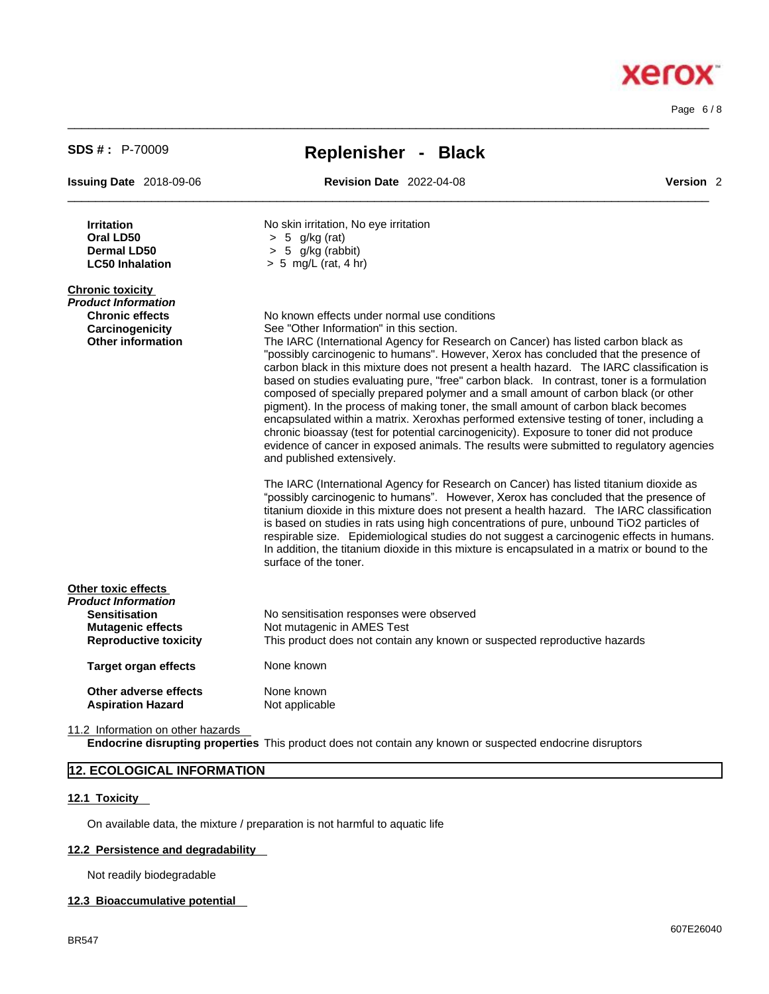| <b>SDS #: P-70009</b>                                                                                                          | Replenisher - Black                                                                                                                                                                                                                                                                                                                                                                                                                                                                                                                                                                                                                                                                                                                                                                                                                                                                                                                                             |                      |  |  |  |
|--------------------------------------------------------------------------------------------------------------------------------|-----------------------------------------------------------------------------------------------------------------------------------------------------------------------------------------------------------------------------------------------------------------------------------------------------------------------------------------------------------------------------------------------------------------------------------------------------------------------------------------------------------------------------------------------------------------------------------------------------------------------------------------------------------------------------------------------------------------------------------------------------------------------------------------------------------------------------------------------------------------------------------------------------------------------------------------------------------------|----------------------|--|--|--|
| <b>Issuing Date 2018-09-06</b>                                                                                                 | <b>Revision Date 2022-04-08</b>                                                                                                                                                                                                                                                                                                                                                                                                                                                                                                                                                                                                                                                                                                                                                                                                                                                                                                                                 | Version <sub>2</sub> |  |  |  |
| <b>Irritation</b><br>Oral LD50<br><b>Dermal LD50</b><br><b>LC50 Inhalation</b>                                                 | No skin irritation, No eye irritation<br>$> 5$ g/kg (rat)<br>$> 5$ g/kg (rabbit)<br>$> 5$ mg/L (rat, 4 hr)                                                                                                                                                                                                                                                                                                                                                                                                                                                                                                                                                                                                                                                                                                                                                                                                                                                      |                      |  |  |  |
| <b>Chronic toxicity</b><br><b>Product Information</b><br><b>Chronic effects</b><br>Carcinogenicity<br><b>Other information</b> | No known effects under normal use conditions<br>See "Other Information" in this section.<br>The IARC (International Agency for Research on Cancer) has listed carbon black as<br>"possibly carcinogenic to humans". However, Xerox has concluded that the presence of<br>carbon black in this mixture does not present a health hazard. The IARC classification is<br>based on studies evaluating pure, "free" carbon black. In contrast, toner is a formulation<br>composed of specially prepared polymer and a small amount of carbon black (or other<br>pigment). In the process of making toner, the small amount of carbon black becomes<br>encapsulated within a matrix. Xeroxhas performed extensive testing of toner, including a<br>chronic bioassay (test for potential carcinogenicity). Exposure to toner did not produce<br>evidence of cancer in exposed animals. The results were submitted to regulatory agencies<br>and published extensively. |                      |  |  |  |
|                                                                                                                                | The IARC (International Agency for Research on Cancer) has listed titanium dioxide as<br>"possibly carcinogenic to humans". However, Xerox has concluded that the presence of<br>titanium dioxide in this mixture does not present a health hazard. The IARC classification<br>is based on studies in rats using high concentrations of pure, unbound TiO2 particles of<br>respirable size. Epidemiological studies do not suggest a carcinogenic effects in humans.<br>In addition, the titanium dioxide in this mixture is encapsulated in a matrix or bound to the<br>surface of the toner.                                                                                                                                                                                                                                                                                                                                                                  |                      |  |  |  |
| Other toxic effects<br>Product Information                                                                                     |                                                                                                                                                                                                                                                                                                                                                                                                                                                                                                                                                                                                                                                                                                                                                                                                                                                                                                                                                                 |                      |  |  |  |
| <b>Sensitisation</b><br><b>Mutagenic effects</b><br><b>Reproductive toxicity</b>                                               | No sensitisation responses were observed<br>Not mutagenic in AMES Test<br>This product does not contain any known or suspected reproductive hazards                                                                                                                                                                                                                                                                                                                                                                                                                                                                                                                                                                                                                                                                                                                                                                                                             |                      |  |  |  |
| <b>Target organ effects</b>                                                                                                    | None known                                                                                                                                                                                                                                                                                                                                                                                                                                                                                                                                                                                                                                                                                                                                                                                                                                                                                                                                                      |                      |  |  |  |
| Other adverse effects<br><b>Aspiration Hazard</b>                                                                              | None known<br>Not applicable                                                                                                                                                                                                                                                                                                                                                                                                                                                                                                                                                                                                                                                                                                                                                                                                                                                                                                                                    |                      |  |  |  |

 $\_$  ,  $\_$  ,  $\_$  ,  $\_$  ,  $\_$  ,  $\_$  ,  $\_$  ,  $\_$  ,  $\_$  ,  $\_$  ,  $\_$  ,  $\_$  ,  $\_$  ,  $\_$  ,  $\_$  ,  $\_$  ,  $\_$  ,  $\_$  ,  $\_$  ,  $\_$  ,  $\_$  ,  $\_$  ,  $\_$  ,  $\_$  ,  $\_$  ,  $\_$  ,  $\_$  ,  $\_$  ,  $\_$  ,  $\_$  ,  $\_$  ,  $\_$  ,  $\_$  ,  $\_$  ,  $\_$  ,  $\_$  ,  $\_$  ,

11.2 Information on other hazards

**Endocrine disrupting properties** This product does not contain any known or suspected endocrine disruptors

# **12. ECOLOGICAL INFORMATION**

## **12.1 Toxicity**

On available data, the mixture / preparation is not harmful to aquatic life

# **12.2 Persistence and degradability**

Not readily biodegradable

#### **12.3 Bioaccumulative potential**

# **Xerox**

Page 6 / 8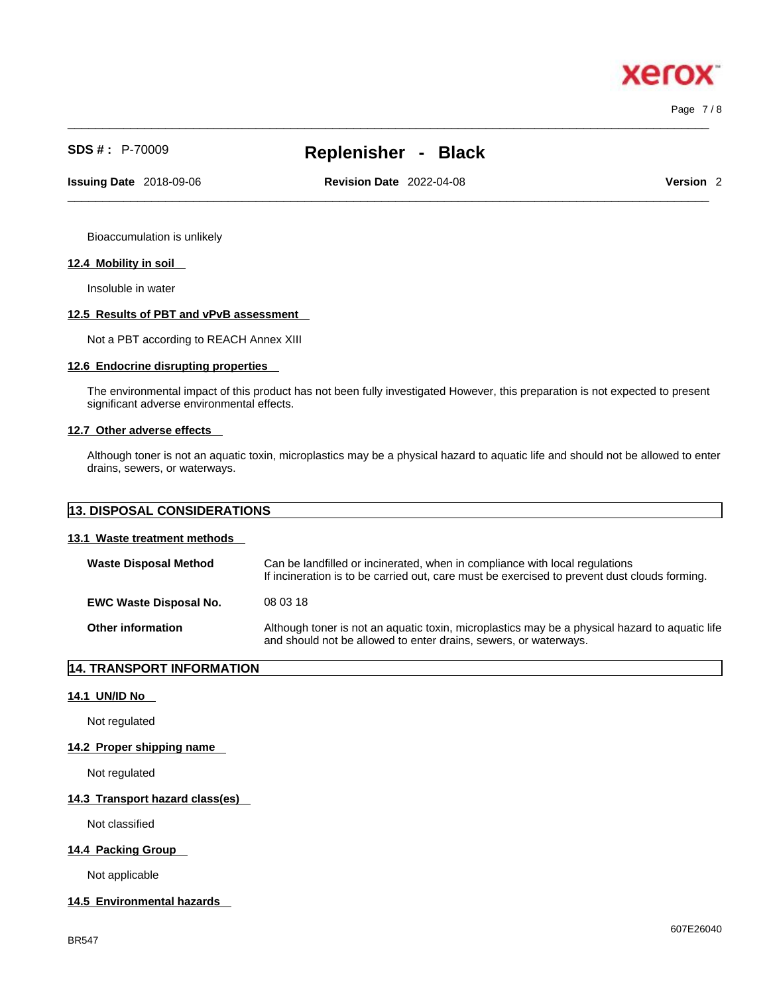# **SDS # :** P-70009 **Replenisher - Black**

 $\_$  ,  $\_$  ,  $\_$  ,  $\_$  ,  $\_$  ,  $\_$  ,  $\_$  ,  $\_$  ,  $\_$  ,  $\_$  ,  $\_$  ,  $\_$  ,  $\_$  ,  $\_$  ,  $\_$  ,  $\_$  ,  $\_$  ,  $\_$  ,  $\_$  ,  $\_$  ,  $\_$  ,  $\_$  ,  $\_$  ,  $\_$  ,  $\_$  ,  $\_$  ,  $\_$  ,  $\_$  ,  $\_$  ,  $\_$  ,  $\_$  ,  $\_$  ,  $\_$  ,  $\_$  ,  $\_$  ,  $\_$  ,  $\_$  ,

**Issuing Date** 2018-09-06 **Revision Date** 2022-04-08 **Version** 2

 $\_$  ,  $\_$  ,  $\_$  ,  $\_$  ,  $\_$  ,  $\_$  ,  $\_$  ,  $\_$  ,  $\_$  ,  $\_$  ,  $\_$  ,  $\_$  ,  $\_$  ,  $\_$  ,  $\_$  ,  $\_$  ,  $\_$  ,  $\_$  ,  $\_$  ,  $\_$  ,  $\_$  ,  $\_$  ,  $\_$  ,  $\_$  ,  $\_$  ,  $\_$  ,  $\_$  ,  $\_$  ,  $\_$  ,  $\_$  ,  $\_$  ,  $\_$  ,  $\_$  ,  $\_$  ,  $\_$  ,  $\_$  ,  $\_$  ,

Bioaccumulation is unlikely

#### **12.4 Mobility in soil**

Insoluble in water

#### **12.5 Results of PBT and vPvB assessment**

Not a PBT according to REACH Annex XIII

# **12.6 Endocrine disrupting properties**

The environmental impact of this product has not been fully investigated However, this preparation is not expected to present significant adverse environmental effects.

#### **12.7 Other adverse effects**

Although toner is not an aquatic toxin, microplastics may be a physical hazard to aquatic life and should not be allowed to enter drains, sewers, or waterways.

| <b>13. DISPOSAL CONSIDERATIONS</b> |  |
|------------------------------------|--|
|------------------------------------|--|

## **13.1 Waste treatment methods**

| <b>Waste Disposal Method</b>  | Can be landfilled or incinerated, when in compliance with local regulations<br>If incineration is to be carried out, care must be exercised to prevent dust clouds forming. |
|-------------------------------|-----------------------------------------------------------------------------------------------------------------------------------------------------------------------------|
| <b>EWC Waste Disposal No.</b> | 08 03 18                                                                                                                                                                    |
| <b>Other information</b>      | Although toner is not an aquatic toxin, microplastics may be a physical hazard to aquatic life<br>and should not be allowed to enter drains, sewers, or waterways.          |

# **14. TRANSPORT INFORMATION**

#### **14.1 UN/ID No**

Not regulated

#### **14.2 Proper shipping name**

Not regulated

#### **14.3 Transport hazard class(es)**

Not classified

## **14.4 Packing Group**

Not applicable

#### **14.5 Environmental hazards**



Page 7 / 8